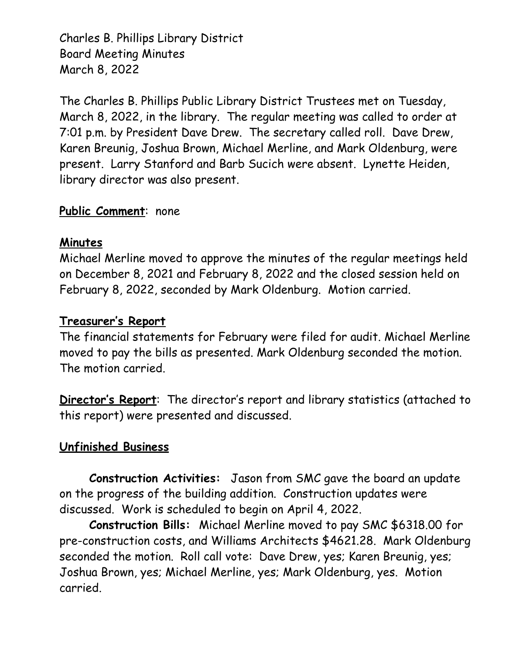Charles B. Phillips Library District Board Meeting Minutes March 8, 2022

The Charles B. Phillips Public Library District Trustees met on Tuesday, March 8, 2022, in the library. The regular meeting was called to order at 7:01 p.m. by President Dave Drew. The secretary called roll. Dave Drew, Karen Breunig, Joshua Brown, Michael Merline, and Mark Oldenburg, were present. Larry Stanford and Barb Sucich were absent. Lynette Heiden, library director was also present.

## **Public Comment**: none

### **Minutes**

Michael Merline moved to approve the minutes of the regular meetings held on December 8, 2021 and February 8, 2022 and the closed session held on February 8, 2022, seconded by Mark Oldenburg. Motion carried.

### **Treasurer's Report**

The financial statements for February were filed for audit. Michael Merline moved to pay the bills as presented. Mark Oldenburg seconded the motion. The motion carried.

**Director's Report**: The director's report and library statistics (attached to this report) were presented and discussed.

# **Unfinished Business**

 **Construction Activities:** Jason from SMC gave the board an update on the progress of the building addition. Construction updates were discussed. Work is scheduled to begin on April 4, 2022.

**Construction Bills:** Michael Merline moved to pay SMC \$6318.00 for pre-construction costs, and Williams Architects \$4621.28. Mark Oldenburg seconded the motion. Roll call vote: Dave Drew, yes; Karen Breunig, yes; Joshua Brown, yes; Michael Merline, yes; Mark Oldenburg, yes. Motion carried.